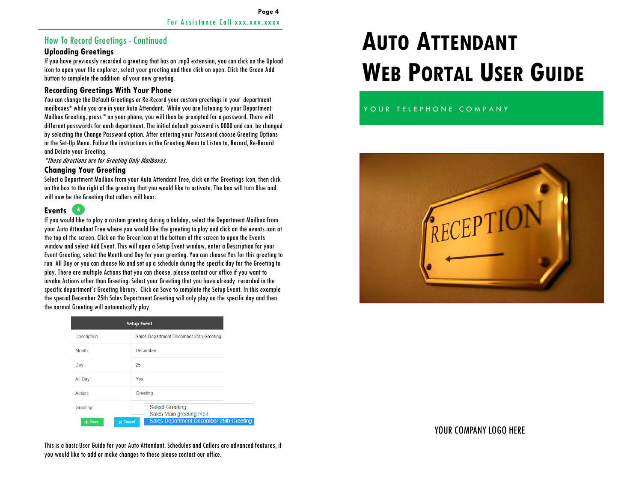## How To Record Greetings - Continued

#### **Uploading Greetings**

If you have previously recorded a greeting that has an .mp3 extension, you can click on the Upload icon to open your file explorer, select your greeting and then click on open. Click the Green Add button to complete the addition of your new greeting.

#### **Recording Greetings With Your Phone**

You can change the Default Greetings or Re-Record your custom greetings in your department mailboxes**\*** while you are in your Auto Attendant. While you are listening to your Department Mailbox Greeting, press \* on your phone, you will then be prompted for a password. There will different passwords for each department. The initial default password is 0000 and can be changed by selecting the Change Password option. After entering your Password choose Greeting Options in the Set-Up Menu. Follow the instructions in the Greeting Menu to Listen to, Record, Re-Record and Delete your Greeting.

**\***These directions are for Greeting Only Mailboxes.

#### **Changing Your Greeting**

Select a Department Mailbox from your Auto Attendant Tree, click on the Greetings Icon, then click on the box to the right of the greeting that you would like to activate. The box will turn Blue and will now be the Greeting that callers will hear.

## **Events**

If you would like to play a custom greeting during a holiday, select the Department Mailbox from your Auto Attendant Tree where you would like the greeting to play and click on the events icon at the top of the screen. Click on the Green icon at the bottom of the screen to open the Events window and select Add Event. This will open a Setup Event window, enter a Description for your Event Greeting, select the Month and Day for your greeting. You can choose Yes for this greeting to run All Day or you can choose No and set up a schedule during the specific day for the Greeting to play. There are multiple Actions that you can choose, please contact our office if you want to invoke Actions other than Greeting. Select your Greeting that you have already recorded in the specific department's Greeting library. Click on Save to complete the Setup Event. In this example the special December 25th Sales Department Greeting will only play on the specific day and then the normal Greeting will automatically play.

| <b>Setup Event</b> |                 |                                                   |  |  |
|--------------------|-----------------|---------------------------------------------------|--|--|
| Description:       |                 | Sales Department December 25th Greeting           |  |  |
| Month:             |                 | December                                          |  |  |
| Day:               | 25              |                                                   |  |  |
| All Day:           |                 | Yes                                               |  |  |
| Action:            |                 | Greeting                                          |  |  |
| Greeting:          |                 | <b>Select Greeting</b><br>Sales Main greeting.mp3 |  |  |
|                    | <b>X</b> Cancel | <b>Sales Department December 25th Gree</b>        |  |  |

# **AUTO ATTENDANTWEB PORTAL USER GUIDE**

## YOUR TELEPHONE COMPANY



## YOUR COMPANY LOGO HERE

This is a basic User Guide for your Auto Attendant. Schedules and Callers are advanced features, if you would like to add or make changes to these please contact our office.

ting